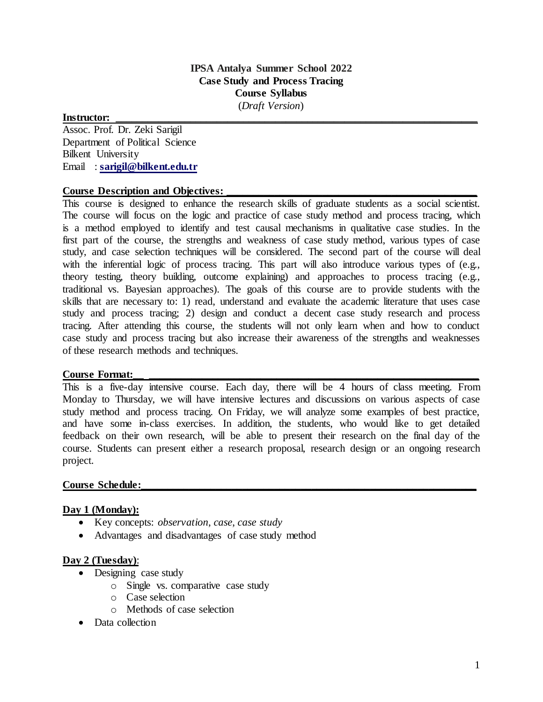# **IPSA Antalya Summer School 2022 Case Study and Process Tracing Course Syllabus**

(*Draft Version*)

# **Instructor: \_\_\_\_\_\_\_\_\_\_\_\_\_\_\_\_\_\_\_\_\_\_\_\_\_\_\_\_\_\_\_\_\_\_\_\_\_\_\_\_\_\_\_\_\_\_\_\_\_\_\_\_\_\_\_\_\_\_\_\_\_\_\_\_\_\_\_\_**

Assoc. Prof. Dr. Zeki Sarigil Department of Political Science Bilkent University Email : **[sarigil@bilkent.edu.tr](mailto:sarigil@bilkent.edu.tr)**

# **Course Description and Objectives:**

This course is designed to enhance the research skills of graduate students as a social scientist. The course will focus on the logic and practice of case study method and process tracing, which is a method employed to identify and test causal mechanisms in qualitative case studies. In the first part of the course, the strengths and weakness of case study method, various types of case study, and case selection techniques will be considered. The second part of the course will deal with the inferential logic of process tracing. This part will also introduce various types of (e.g., theory testing, theory building, outcome explaining) and approaches to process tracing (e.g., traditional vs. Bayesian approaches). The goals of this course are to provide students with the skills that are necessary to: 1) read, understand and evaluate the academic literature that uses case study and process tracing; 2) design and conduct a decent case study research and process tracing. After attending this course, the students will not only learn when and how to conduct case study and process tracing but also increase their awareness of the strengths and weaknesses of these research methods and techniques.

# Course Format:

This is a five-day intensive course. Each day, there will be 4 hours of class meeting. From Monday to Thursday, we will have intensive lectures and discussions on various aspects of case study method and process tracing. On Friday, we will analyze some examples of best practice, and have some in-class exercises. In addition, the students, who would like to get detailed feedback on their own research, will be able to present their research on the final day of the course. Students can present either a research proposal, research design or an ongoing research project.

# **Course Schedule:\_\_\_\_\_\_\_\_\_\_\_\_\_\_\_\_\_\_\_\_\_\_\_\_\_\_\_\_\_\_\_\_\_\_\_\_\_\_\_\_\_\_\_\_\_\_\_\_\_\_\_\_\_\_\_\_\_\_\_\_\_\_\_**

# **Day 1 (Monday):**

- Key concepts: *observation*, *case*, *case study*
- Advantages and disadvantages of case study method

#### **Day 2 (Tuesday)**:

- Designing case study
	- o Single vs. comparative case study
	- o Case selection
	- o Methods of case selection
- Data collection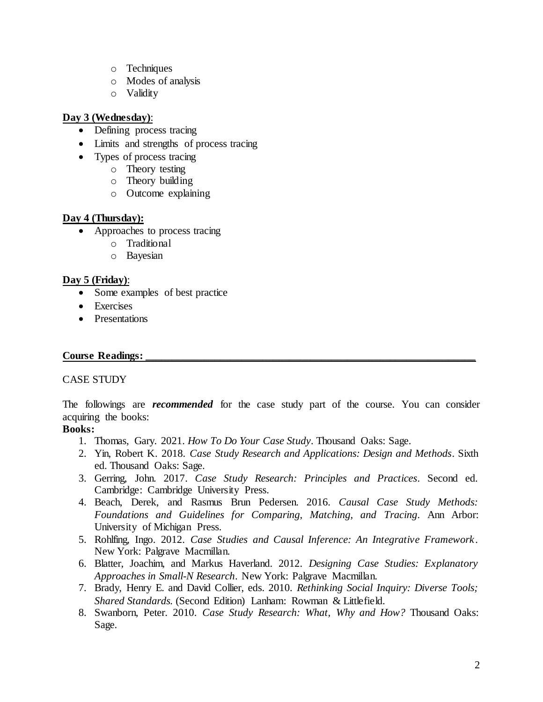- o Techniques
- o Modes of analysis
- o Validity

# **Day 3 (Wednesday)**:

- Defining process tracing
- Limits and strengths of process tracing
- Types of process tracing
	- o Theory testing
		- o Theory building
		- o Outcome explaining

# **Day 4 (Thursday):**

- Approaches to process tracing
	- o Traditional
	- o Bayesian

# **Day 5 (Friday)**:

- Some examples of best practice
- Exercises
- Presentations

# **Course Readings:**

# CASE STUDY

The followings are *recommended* for the case study part of the course. You can consider acquiring the books:

# **Books:**

- 1. Thomas, Gary. 2021. *How To Do Your Case Study*. Thousand Oaks: Sage.
- 2. Yin, Robert K. 2018. *Case Study Research and Applications: Design and Methods*. Sixth ed. Thousand Oaks: Sage.
- 3. Gerring, John. 2017. *Case Study Research: Principles and Practices*. Second ed. Cambridge: Cambridge University Press.
- 4. Beach, Derek, and Rasmus Brun Pedersen. 2016. *Causal Case Study Methods: Foundations and Guidelines for Comparing, Matching, and Tracing*. Ann Arbor: University of Michigan Press.
- 5. Rohlfing, Ingo. 2012. *Case Studies and Causal Inference: An Integrative Framework*. New York: Palgrave Macmillan.
- 6. Blatter, Joachim, and Markus Haverland. 2012. *Designing Case Studies: Explanatory Approaches in Small-N Research*. New York: Palgrave Macmillan.
- 7. Brady, Henry E. and David Collier, eds. 2010. *Rethinking Social Inquiry: Diverse Tools; Shared Standards.* (Second Edition) Lanham: Rowman & Littlefield.
- 8. Swanborn, Peter. 2010. *Case Study Research: What, Why and How?* Thousand Oaks: Sage.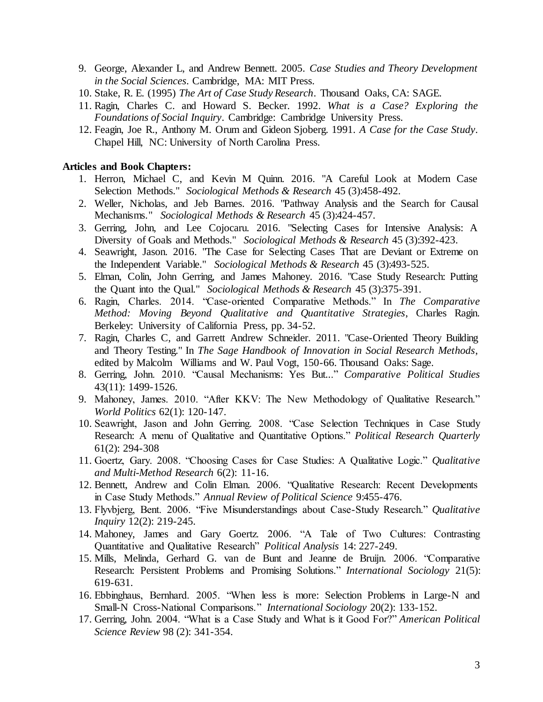- 9. George, Alexander L, and Andrew Bennett. 2005. *Case Studies and Theory Development in the Social Sciences*. Cambridge, MA: MIT Press.
- 10. Stake, R. E. (1995) *The Art of Case Study Research*. Thousand Oaks, CA: SAGE.
- 11. Ragin, Charles C. and Howard S. Becker. 1992. *What is a Case? Exploring the Foundations of Social Inquiry*. Cambridge: Cambridge University Press.
- 12. Feagin, Joe R., Anthony M. Orum and Gideon Sjoberg. 1991. *A Case for the Case Study*. Chapel Hill, NC: University of North Carolina Press.

#### **Articles and Book Chapters:**

- 1. Herron, Michael C, and Kevin M Quinn. 2016. "A Careful Look at Modern Case Selection Methods." *Sociological Methods & Research* 45 (3):458-492.
- 2. Weller, Nicholas, and Jeb Barnes. 2016. "Pathway Analysis and the Search for Causal Mechanisms." *Sociological Methods & Research* 45 (3):424-457.
- 3. Gerring, John, and Lee Cojocaru. 2016. "Selecting Cases for Intensive Analysis: A Diversity of Goals and Methods." *Sociological Methods & Research* 45 (3):392-423.
- 4. Seawright, Jason. 2016. "The Case for Selecting Cases That are Deviant or Extreme on the Independent Variable." *Sociological Methods & Research* 45 (3):493-525.
- 5. Elman, Colin, John Gerring, and James Mahoney. 2016. "Case Study Research: Putting the Quant into the Qual." *Sociological Methods & Research* 45 (3):375-391.
- 6. Ragin, Charles. 2014. "Case-oriented Comparative Methods." In *The Comparative Method: Moving Beyond Qualitative and Quantitative Strategies*, Charles Ragin. Berkeley: University of California Press, pp. 34-52.
- 7. Ragin, Charles C, and Garrett Andrew Schneider. 2011. "Case-Oriented Theory Building and Theory Testing." In *The Sage Handbook of Innovation in Social Research Methods*, edited by Malcolm Williams and W. Paul Vogt, 150-66. Thousand Oaks: Sage.
- 8. Gerring, John. 2010. "Causal Mechanisms: Yes But..." *Comparative Political Studies*  43(11): 1499-1526.
- 9. Mahoney, James. 2010. "After KKV: The New Methodology of Qualitative Research." *World Politics* 62(1): 120-147.
- 10. Seawright, Jason and John Gerring. 2008. "Case Selection Techniques in Case Study Research: A menu of Qualitative and Quantitative Options." *Political Research Quarterly* 61(2): 294-308
- 11. Goertz, Gary. 2008. "Choosing Cases for Case Studies: A Qualitative Logic." *Qualitative and Multi-Method Research* 6(2): 11-16.
- 12. Bennett, Andrew and Colin Elman. 2006. "Qualitative Research: Recent Developments in Case Study Methods." *Annual Review of Political Science* 9:455-476.
- 13. Flyvbjerg, Bent. 2006. "Five Misunderstandings about Case-Study Research." *Qualitative Inquiry* 12(2): 219-245.
- 14. Mahoney, James and Gary Goertz. 2006. "A Tale of Two Cultures: Contrasting Quantitative and Qualitative Research" *Political Analysis* 14: 227-249.
- 15. Mills, Melinda, Gerhard G. van de Bunt and Jeanne de Bruijn. 2006. "Comparative Research: Persistent Problems and Promising Solutions." *International Sociology* 21(5): 619-631.
- 16. Ebbinghaus, Bernhard. 2005. "When less is more: Selection Problems in Large-N and Small-N Cross-National Comparisons." *International Sociology* 20(2): 133-152.
- 17. Gerring, John. 2004. "What is a Case Study and What is it Good For?" *American Political Science Review* 98 (2): 341-354.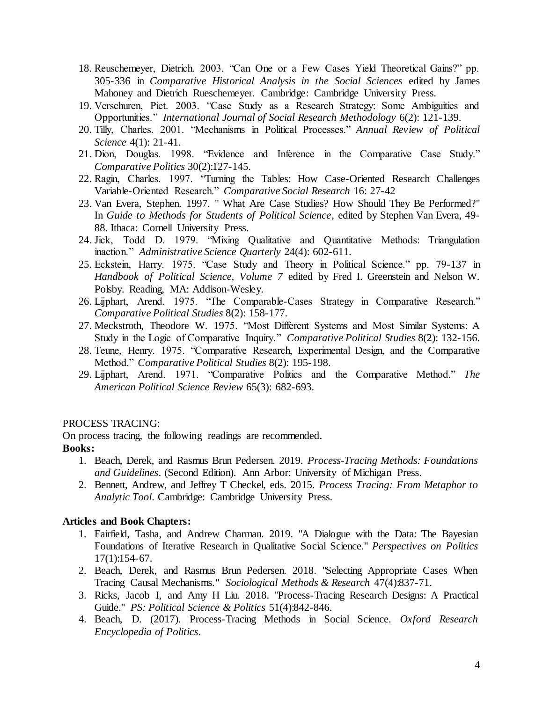- 18. Reuschemeyer, Dietrich. 2003. "Can One or a Few Cases Yield Theoretical Gains?" pp. 305-336 in *Comparative Historical Analysis in the Social Sciences* edited by James Mahoney and Dietrich Rueschemeyer. Cambridge: Cambridge University Press.
- 19. Verschuren, Piet. 2003. "Case Study as a Research Strategy: Some Ambiguities and Opportunities." *International Journal of Social Research Methodology* 6(2): 121-139.
- 20. Tilly, Charles. 2001. "Mechanisms in Political Processes." *Annual Review of Political Science* 4(1): 21-41.
- 21. Dion, Douglas. 1998. "Evidence and Inference in the Comparative Case Study." *Comparative Politics* 30(2):127-145.
- 22. Ragin, Charles. 1997. "Turning the Tables: How Case-Oriented Research Challenges Variable-Oriented Research." *Comparative Social Research* 16: 27-42
- 23. Van Evera, Stephen. 1997. " What Are Case Studies? How Should They Be Performed?" In *Guide to Methods for Students of Political Science*, edited by Stephen Van Evera, 49- 88. Ithaca: Cornell University Press.
- 24. Jick, Todd D. 1979. "Mixing Qualitative and Quantitative Methods: Triangulation inaction." *Administrative Science Quarterly* 24(4): 602-611.
- 25. Eckstein, Harry. 1975. "Case Study and Theory in Political Science." pp. 79-137 in *Handbook of Political Science, Volume 7* edited by Fred I. Greenstein and Nelson W. Polsby. Reading, MA: Addison-Wesley.
- 26. Lijphart, Arend. 1975. "The Comparable-Cases Strategy in Comparative Research." *Comparative Political Studies* 8(2): 158-177.
- 27. Meckstroth, Theodore W. 1975. "Most Different Systems and Most Similar Systems: A Study in the Logic of Comparative Inquiry." *Comparative Political Studies* 8(2): 132-156.
- 28. Teune, Henry. 1975. "Comparative Research, Experimental Design, and the Comparative Method." *Comparative Political Studies* 8(2): 195-198.
- 29. Lijphart, Arend. 1971. "Comparative Politics and the Comparative Method." *The American Political Science Review* 65(3): 682-693.

#### PROCESS TRACING:

On process tracing, the following readings are recommended.

# **Books:**

- 1. Beach, Derek, and Rasmus Brun Pedersen. 2019. *Process-Tracing Methods: Foundations and Guidelines*. (Second Edition). Ann Arbor: University of Michigan Press.
- 2. Bennett, Andrew, and Jeffrey T Checkel, eds. 2015. *Process Tracing: From Metaphor to Analytic Tool*. Cambridge: Cambridge University Press.

#### **Articles and Book Chapters:**

- 1. Fairfield, Tasha, and Andrew Charman. 2019. "A Dialogue with the Data: The Bayesian Foundations of Iterative Research in Qualitative Social Science." *Perspectives on Politics* 17(1):154-67.
- 2. Beach, Derek, and Rasmus Brun Pedersen. 2018. "Selecting Appropriate Cases When Tracing Causal Mechanisms." *Sociological Methods & Research* 47(4):837-71.
- 3. Ricks, Jacob I, and Amy H Liu. 2018. "Process-Tracing Research Designs: A Practical Guide." *PS: Political Science & Politics* 51(4):842-846.
- 4. Beach, D. (2017). Process-Tracing Methods in Social Science. *Oxford Research Encyclopedia of Politics*.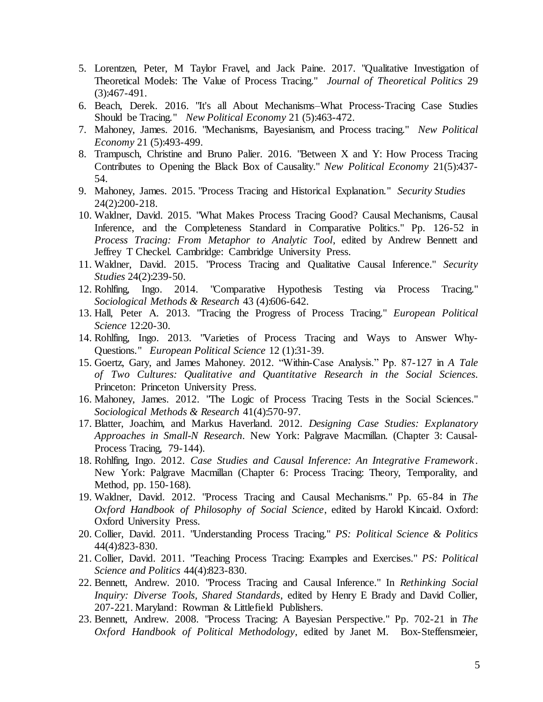- 5. Lorentzen, Peter, M Taylor Fravel, and Jack Paine. 2017. "Qualitative Investigation of Theoretical Models: The Value of Process Tracing." *Journal of Theoretical Politics* 29 (3):467-491.
- 6. Beach, Derek. 2016. "It's all About Mechanisms–What Process-Tracing Case Studies Should be Tracing." *New Political Economy* 21 (5):463-472.
- 7. Mahoney, James. 2016. "Mechanisms, Bayesianism, and Process tracing." *New Political Economy* 21 (5):493-499.
- 8. Trampusch, Christine and Bruno Palier. 2016. "Between X and Y: How Process Tracing Contributes to Opening the Black Box of Causality." *New Political Economy* 21(5):437- 54.
- 9. Mahoney, James. 2015. "Process Tracing and Historical Explanation." *Security Studies* 24(2):200-218.
- 10. Waldner, David. 2015. "What Makes Process Tracing Good? Causal Mechanisms, Causal Inference, and the Completeness Standard in Comparative Politics." Pp. 126-52 in *Process Tracing: From Metaphor to Analytic Tool*, edited by Andrew Bennett and Jeffrey T Checkel. Cambridge: Cambridge University Press.
- 11. Waldner, David. 2015. "Process Tracing and Qualitative Causal Inference." *Security Studies* 24(2):239-50.
- 12. Rohlfing, Ingo. 2014. "Comparative Hypothesis Testing via Process Tracing." *Sociological Methods & Research* 43 (4):606-642.
- 13. Hall, Peter A. 2013. "Tracing the Progress of Process Tracing." *European Political Science* 12:20-30.
- 14. Rohlfing, Ingo. 2013. "Varieties of Process Tracing and Ways to Answer Why-Questions." *European Political Science* 12 (1):31-39.
- 15. Goertz, Gary, and James Mahoney. 2012. "Within-Case Analysis." Pp. 87-127 in *A Tale of Two Cultures: Qualitative and Quantitative Research in the Social Sciences*. Princeton: Princeton University Press.
- 16. Mahoney, James. 2012. "The Logic of Process Tracing Tests in the Social Sciences." *Sociological Methods & Research* 41(4):570-97.
- 17. Blatter, Joachim, and Markus Haverland. 2012. *Designing Case Studies: Explanatory Approaches in Small-N Research*. New York: Palgrave Macmillan. (Chapter 3: Causal-Process Tracing, 79-144).
- 18. Rohlfing, Ingo. 2012. *Case Studies and Causal Inference: An Integrative Framework*. New York: Palgrave Macmillan (Chapter 6: Process Tracing: Theory, Temporality, and Method, pp. 150-168).
- 19. Waldner, David. 2012. "Process Tracing and Causal Mechanisms." Pp. 65-84 in *The Oxford Handbook of Philosophy of Social Science*, edited by Harold Kincaid. Oxford: Oxford University Press.
- 20. Collier, David. 2011. "Understanding Process Tracing." *PS: Political Science & Politics* 44(4):823-830.
- 21. Collier, David. 2011. "Teaching Process Tracing: Examples and Exercises." *PS: Political Science and Politics* 44(4):823-830.
- 22. Bennett, Andrew. 2010. "Process Tracing and Causal Inference." In *Rethinking Social Inquiry: Diverse Tools, Shared Standards*, edited by Henry E Brady and David Collier, 207-221. Maryland: Rowman & Littlefield Publishers.
- 23. Bennett, Andrew. 2008. "Process Tracing: A Bayesian Perspective." Pp. 702-21 in *The Oxford Handbook of Political Methodology*, edited by Janet M. Box-Steffensmeier,